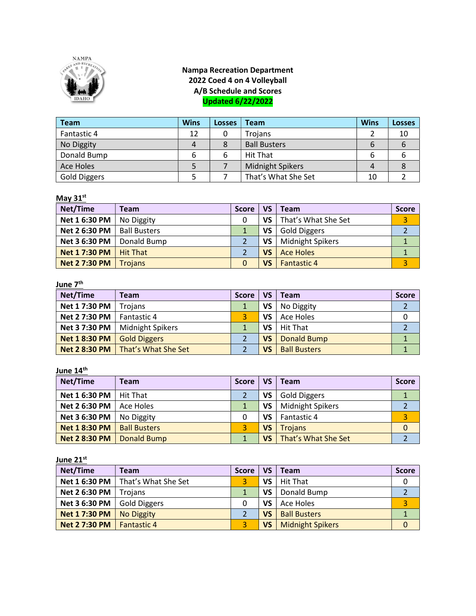

# Nampa Recreation Department 2022 Coed 4 on 4 Volleyball A/B Schedule and Scores Updated 6/22/2022

| <b>Team</b>         | <b>Wins</b> | Losses | Team                    | <b>Wins</b> | <b>Losses</b> |
|---------------------|-------------|--------|-------------------------|-------------|---------------|
| Fantastic 4         | 12          |        | Trojans                 |             | 10            |
| No Diggity          | 4           | 8      | <b>Ball Busters</b>     | 6           |               |
| Donald Bump         | 6           | 6      | <b>Hit That</b>         |             |               |
| Ace Holes           |             |        | <b>Midnight Spikers</b> | Δ           |               |
| <b>Gold Diggers</b> |             |        | That's What She Set     | 10          |               |

# May  $31<sup>st</sup>$

| Net/Time             | <b>Team</b>         | <b>Score</b> | VS  | Team                    | <b>Score</b> |
|----------------------|---------------------|--------------|-----|-------------------------|--------------|
| Net 1 6:30 PM        | No Diggity          |              | VS  | That's What She Set     | 3            |
| Net 2 6:30 PM        | <b>Ball Busters</b> |              | VS  | <b>Gold Diggers</b>     |              |
| Net 3 6:30 PM        | Donald Bump         |              | VS  | <b>Midnight Spikers</b> |              |
| <b>Net 1 7:30 PM</b> | <b>Hit That</b>     |              | VS  | <b>Ace Holes</b>        |              |
| <b>Net 2 7:30 PM</b> | Trojans             |              | VS. | <b>Fantastic 4</b>      | 3            |

## <u>June 7<sup>th</sup></u>

| Net/Time             | <b>Team</b>                                | <b>Score</b> | VS | Team                | <b>Score</b> |
|----------------------|--------------------------------------------|--------------|----|---------------------|--------------|
| Net 1 7:30 PM        | Troians                                    |              | VS | No Diggity          |              |
| <b>Net 2 7:30 PM</b> | <b>Fantastic 4</b>                         |              | VS | Ace Holes           |              |
| Net 3 7:30 PM        | <b>Midnight Spikers</b>                    |              | VS | <b>Hit That</b>     |              |
| <b>Net 1 8:30 PM</b> | <b>Gold Diggers</b>                        |              | VS | <b>Donald Bump</b>  |              |
|                      | <b>Net 2 8:30 PM</b>   That's What She Set |              | VS | <b>Ball Busters</b> |              |

June 14<sup>th</sup>

| Net/Time             | <b>Team</b>         | <b>Score</b> | VS        | Team                    | <b>Score</b> |
|----------------------|---------------------|--------------|-----------|-------------------------|--------------|
| Net 1 6:30 PM        | Hit That            |              | VS        | <b>Gold Diggers</b>     |              |
| <b>Net 2 6:30 PM</b> | Ace Holes           |              | VS        | <b>Midnight Spikers</b> |              |
| Net 3 6:30 PM        | No Diggity          |              | VS        | Fantastic 4             | 3            |
| <b>Net 1 8:30 PM</b> | <b>Ball Busters</b> |              | <b>VS</b> | <b>Trojans</b>          | $\mathbf{0}$ |
| <b>Net 2 8:30 PM</b> | Donald Bump         |              | VS        | That's What She Set     |              |

#### June 21<sup>st</sup>

| Net/Time                           | <b>Team</b>         | <b>Score</b> | VS        | Team                    | <b>Score</b> |
|------------------------------------|---------------------|--------------|-----------|-------------------------|--------------|
| Net 1 6:30 PM                      | That's What She Set |              | VS.       | <b>Hit That</b>         |              |
| Net 2 6:30 PM                      | Troians             |              | VS.       | Donald Bump             |              |
| Net 3 6:30 PM                      | <b>Gold Diggers</b> |              | VS        | Ace Holes               | 3            |
| <b>Net 17:30 PM</b>                | No Diggity          |              | <b>VS</b> | <b>Ball Busters</b>     |              |
| <b>Net 2 7:30 PM</b>   Fantastic 4 |                     |              | VS.       | <b>Midnight Spikers</b> | $\mathbf 0$  |